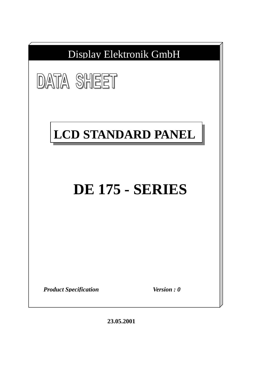

**23.05.2001**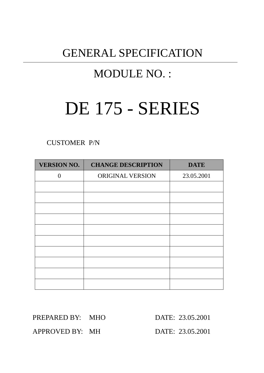# GENERAL SPECIFICATION

# MODULE NO. :

# DE 175 - SERIES

CUSTOMER P/N

| <b>VERSION NO.</b> | <b>CHANGE DESCRIPTION</b> | <b>DATE</b> |
|--------------------|---------------------------|-------------|
| $\Omega$           | ORIGINAL VERSION          | 23.05.2001  |
|                    |                           |             |
|                    |                           |             |
|                    |                           |             |
|                    |                           |             |
|                    |                           |             |
|                    |                           |             |
|                    |                           |             |
|                    |                           |             |
|                    |                           |             |
|                    |                           |             |

PREPARED BY: MHO DATE: 23.05.2001

APPROVED BY: MH DATE: 23.05.2001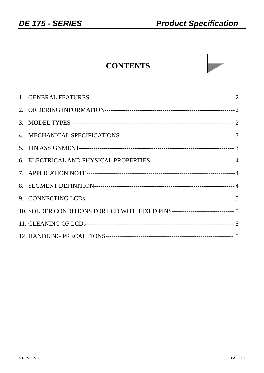# **CONTENTS**

| 10. SOLDER CONDITIONS FOR LCD WITH FIXED PINS------------------------------ 5 |  |
|-------------------------------------------------------------------------------|--|
|                                                                               |  |
|                                                                               |  |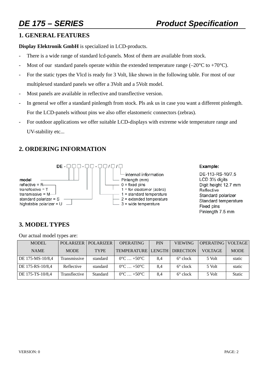### **1. GENERAL FEATURES**

**Display Elektronik GmbH** is specialized in LCD-products.

- There is a wide range of standard lcd-panels. Most of them are available from stock.
- Most of our standard panels operate within the extended temperature range  $(-20^{\circ}C \text{ to } +70^{\circ}C)$ .
- For the static types the Vlcd is ready for 3 Volt, like shown in the following table. For most of our multiplexed standard panels we offer a 3Volt and a 5Volt model.
- Most panels are available in reflective and transflective version.
- In general we offer a standard pinlength from stock. Pls ask us in case you want a different pinlength. For the LCD-panels without pins we also offer elastomeric connectors (zebras).
- For outdoor applications we offer suitable LCD-displays with extreme wide temperature range and UV-stability etc...

# **2. ORDERING INFORMATION**



### Example:

DE-113-RS-10/7.5 LCD 31/2 digits Digit height 12.7 mm Reflective Standard polarizer Standard temperature Fixed pins Pinlength 7.5 mm

# **3. MODEL TYPES**

Our actual model types are:

| <b>MODEL</b>     | <b>POLARIZER</b> | <b>POLARIZER</b> | <b>OPERATING</b>              | <b>PIN</b> | <b>VIEWING</b>    | <b>OPERATING   VOLTAGE  </b> |               |
|------------------|------------------|------------------|-------------------------------|------------|-------------------|------------------------------|---------------|
| <b>NAME</b>      | <b>MODE</b>      | <b>TYPE</b>      | <b>TEMPERATURE LENGTH</b>     |            | <b>DIRECTION</b>  | <b>VOLTAGE</b>               | <b>MODE</b>   |
| DE 175-MS-10/8,4 | Transmissive     | standard         | $0^{\circ}$ C $+50^{\circ}$ C | 8.4        | $6^{\circ}$ clock | 5 Volt                       | static        |
| DE 175-RS-10/8,4 | Reflective       | standard         | $0^{\circ}$ C $+50^{\circ}$ C | 8,4        | $6^{\circ}$ clock | 5 Volt                       | static        |
| DE 175-TS-10/8,4 | Transflective    | Standard         | $0^{\circ}$ C $+50^{\circ}$ C | 8.4        | $6^{\circ}$ clock | 5 Volt                       | <b>Static</b> |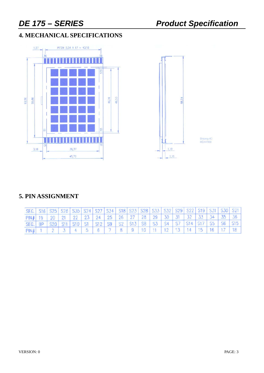# **4. MECHANICAL SPECIFICATIONS**





Driving-IC:<br>HD44100

# **5. PIN ASSIGNMENT**

| SEG.   S16   S25   S26   S35   S24   S27   S34   S18   S23   S28   S33   S32   S29   S22   S19   S31   S30   S21 |  |  |  |  |  |  |  |  |  |
|------------------------------------------------------------------------------------------------------------------|--|--|--|--|--|--|--|--|--|
| PIN# 19 20 21 22 23 24 25 26 27 28 29 30 31 32 33 34 35 36                                                       |  |  |  |  |  |  |  |  |  |
| SEG. BP S20 S11 S10 S1 S12 S9 S2 S13 S8 S3 S4 S7 S14 S17 S5 S6 S15                                               |  |  |  |  |  |  |  |  |  |
| PIN# 1 2 3 4 5 6 7 8 9 10 11 12 13 14 15 16 17 18                                                                |  |  |  |  |  |  |  |  |  |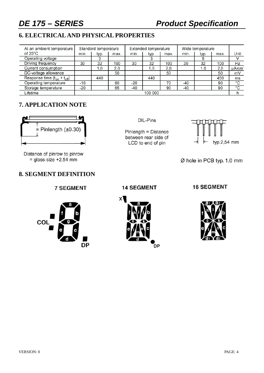# *DE 175 – SERIES Product Specification*

# **6. ELECTRICAL AND PHYSICAL PROPERTIES**

| At an ambient temperature          | Standard temperature |      |      |      | Extended temperature |      | Wide temperature |      |      |         |
|------------------------------------|----------------------|------|------|------|----------------------|------|------------------|------|------|---------|
| of $25^{\circ}$ C                  | min.                 | typ. | max. | min. | typ.                 | max. | min.             | typ. | max. | Unit    |
| Operating voltage                  |                      |      |      |      |                      |      |                  |      |      |         |
| Driving frequency                  | 30                   | 32   | 100  | 30   | 32                   | 100  | 30               | 32   | 100  | Hz      |
| Current consumption                |                      | 1.0  | 2.0  |      | 1.0                  | 2.0  |                  | 1.0  | 2.0  | uA/cm   |
| DC-voltage allowance               |                      |      | 50   |      |                      | 50   |                  |      | 50   | mV      |
| Response time $(t_{on} + t_{off})$ |                      | 440  |      |      | 440                  |      |                  |      | 450  | ms      |
| Operating temperature              | -10                  |      | 60   | -20  |                      | 70   | -40              |      | 90   | °C      |
| Storage temperature                | -20                  |      | 65   | -40  |                      | 90   | $-40$            |      | 90   | $\circ$ |
| Lifetime                           | 100 000              |      |      |      |                      |      |                  |      |      |         |

# **7. APPLICATION NOTE**



Distance of pinrow to pinrow  $=$  glass-size +2.54 mm

### **8. SEGMENT DEFINITION**

**7 SEGMENT** 



DIL-Pins

Pinlength = Distance between rear side of LCD to end of pin



Ø hole in PCB typ. 1,0 mm

### **14 SEGMENT**



**16 SEGMENT** 

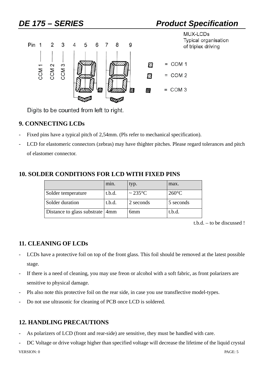

Digits to be counted from left to right.

# **9. CONNECTING LCDs**

- Fixed pins have a typical pitch of 2,54mm. (Pls refer to mechanical specification).
- LCD for elastomeric connectors (zebras) may have thighter pitches. Please regard tolerances and pitch of elastomer connector.

# **10. SOLDER CONDITIONS FOR LCD WITH FIXED PINS**

|                                 | min.   | typ.                        | max.            |
|---------------------------------|--------|-----------------------------|-----------------|
| Solder temperature              | t.b.d. | $\sim$ 235 $\rm{^{\circ}C}$ | $260^{\circ}$ C |
| Solder duration                 | t.b.d. | 2 seconds                   | 5 seconds       |
| Distance to glass substrate 4mm |        | 6 <sub>mm</sub>             | t.b.d.          |

t.b.d. – to be discussed !

# **11. CLEANING OF LCDs**

- LCDs have a protective foil on top of the front glass. This foil should be removed at the latest possible stage.
- If there is a need of cleaning, you may use freon or alcohol with a soft fabric, as front polarizers are sensitive to physical damage.
- Pls also note this protective foil on the rear side, in case you use transflective model-types.
- Do not use ultrasonic for cleaning of PCB once LCD is soldered.

# **12. HANDLING PRECAUTIONS**

- As polarizers of LCD (front and rear-side) are sensitive, they must be handled with care.
- VERSION: 0 VERSION: 0 PAGE: 5 DC Voltage or drive voltage higher than specified voltage will decrease the lifetime of the liquid crystal